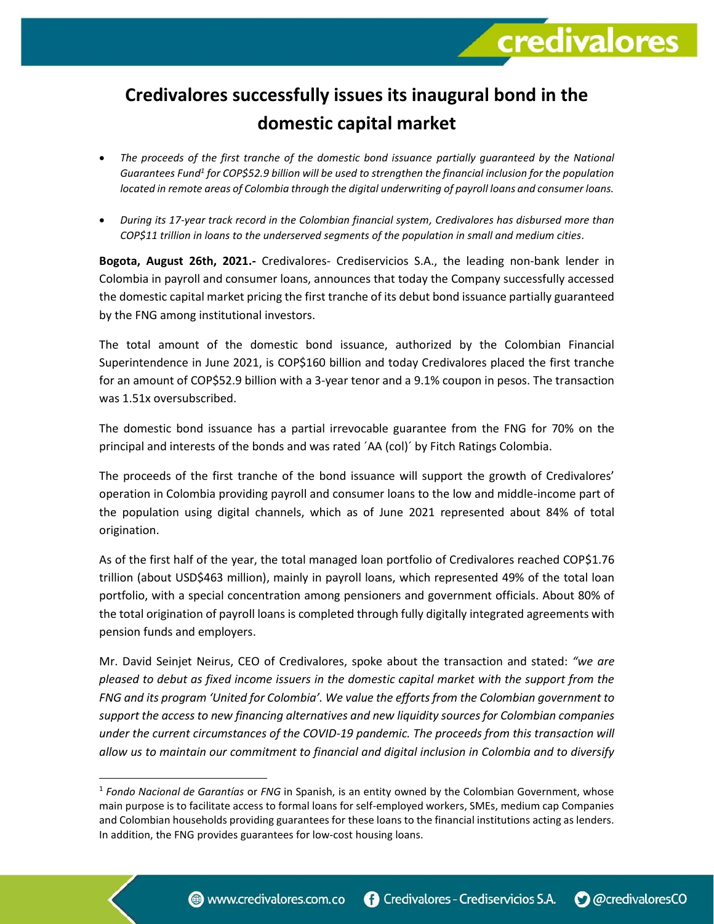## **Credivalores successfully issues its inaugural bond in the domestic capital market**

**credivalores** 

- *The proceeds of the first tranche of the domestic bond issuance partially guaranteed by the National*  Guarantees Fund<sup>1</sup> for COP\$52.9 billion will be used to strengthen the financial inclusion for the population *located in remote areas of Colombia through the digital underwriting of payroll loans and consumer loans.*
- *During its 17-year track record in the Colombian financial system, Credivalores has disbursed more than COP\$11 trillion in loans to the underserved segments of the population in small and medium cities.*

**Bogota, August 26th, 2021.-** Credivalores- Crediservicios S.A., the leading non-bank lender in Colombia in payroll and consumer loans, announces that today the Company successfully accessed the domestic capital market pricing the first tranche of its debut bond issuance partially guaranteed by the FNG among institutional investors.

The total amount of the domestic bond issuance, authorized by the Colombian Financial Superintendence in June 2021, is COP\$160 billion and today Credivalores placed the first tranche for an amount of COP\$52.9 billion with a 3-year tenor and a 9.1% coupon in pesos. The transaction was 1.51x oversubscribed.

The domestic bond issuance has a partial irrevocable guarantee from the FNG for 70% on the principal and interests of the bonds and was rated ´AA (col)´ by Fitch Ratings Colombia.

The proceeds of the first tranche of the bond issuance will support the growth of Credivalores' operation in Colombia providing payroll and consumer loans to the low and middle-income part of the population using digital channels, which as of June 2021 represented about 84% of total origination.

As of the first half of the year, the total managed loan portfolio of Credivalores reached COP\$1.76 trillion (about USD\$463 million), mainly in payroll loans, which represented 49% of the total loan portfolio, with a special concentration among pensioners and government officials. About 80% of the total origination of payroll loans is completed through fully digitally integrated agreements with pension funds and employers.

Mr. David Seinjet Neirus, CEO of Credivalores, spoke about the transaction and stated: *"we are pleased to debut as fixed income issuers in the domestic capital market with the support from the FNG and its program 'United for Colombia'. We value the efforts from the Colombian government to support the access to new financing alternatives and new liquidity sources for Colombian companies under the current circumstances of the COVID-19 pandemic. The proceeds from this transaction will allow us to maintain our commitment to financial and digital inclusion in Colombia and to diversify* 

<sup>1</sup> *Fondo Nacional de Garantías* or *FNG* in Spanish, is an entity owned by the Colombian Government, whose main purpose is to facilitate access to formal loans for self-employed workers, SMEs, medium cap Companies and Colombian households providing guarantees for these loans to the financial institutions acting as lenders. In addition, the FNG provides guarantees for low-cost housing loans.